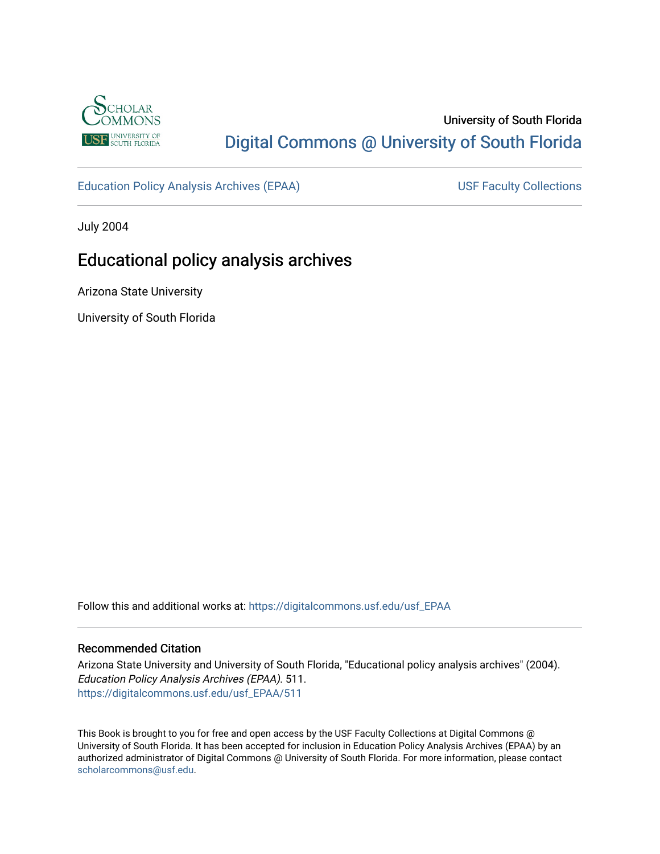

# University of South Florida [Digital Commons @ University of South Florida](https://digitalcommons.usf.edu/)

[Education Policy Analysis Archives \(EPAA\)](https://digitalcommons.usf.edu/usf_EPAA) USF Faculty Collections

July 2004

# Educational policy analysis archives

Arizona State University

University of South Florida

Follow this and additional works at: [https://digitalcommons.usf.edu/usf\\_EPAA](https://digitalcommons.usf.edu/usf_EPAA?utm_source=digitalcommons.usf.edu%2Fusf_EPAA%2F511&utm_medium=PDF&utm_campaign=PDFCoverPages)

# Recommended Citation

Arizona State University and University of South Florida, "Educational policy analysis archives" (2004). Education Policy Analysis Archives (EPAA). 511. [https://digitalcommons.usf.edu/usf\\_EPAA/511](https://digitalcommons.usf.edu/usf_EPAA/511?utm_source=digitalcommons.usf.edu%2Fusf_EPAA%2F511&utm_medium=PDF&utm_campaign=PDFCoverPages)

This Book is brought to you for free and open access by the USF Faculty Collections at Digital Commons @ University of South Florida. It has been accepted for inclusion in Education Policy Analysis Archives (EPAA) by an authorized administrator of Digital Commons @ University of South Florida. For more information, please contact [scholarcommons@usf.edu.](mailto:scholarcommons@usf.edu)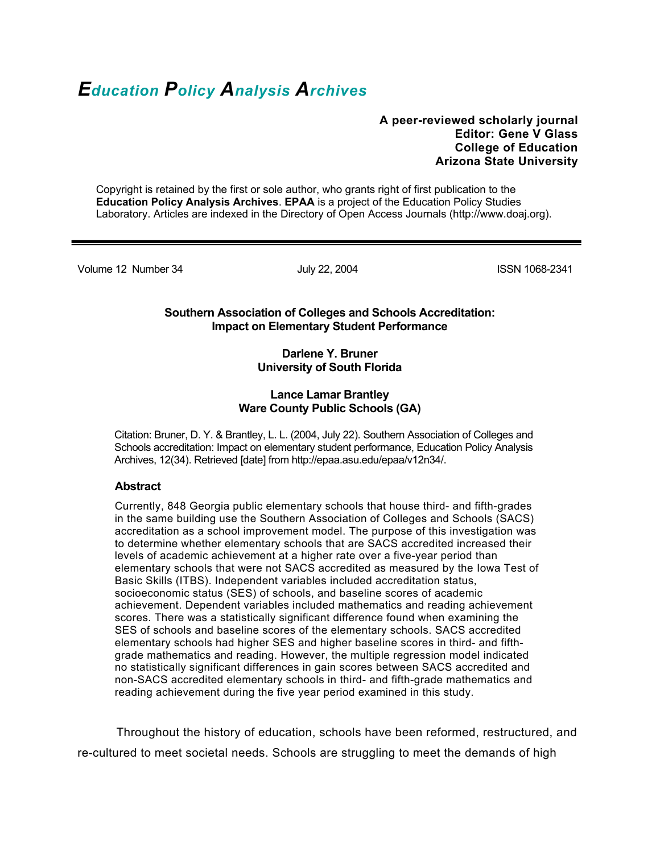# *Education Policy Analysis Archives*

# **A peer-reviewed scholarly journal Editor: Gene V Glass College of Education Arizona State University**

Copyright is retained by the first or sole author, who grants right of first publication to the **Education Policy Analysis Archives**. **EPAA** is a project of the Education Policy Studies Laboratory. Articles are indexed in the Directory of Open Access Journals (http://www.doaj.org).

Volume 12 Number 34 July 22, 2004 ISSN 1068-2341

# **Southern Association of Colleges and Schools Accreditation: Impact on Elementary Student Performance**

# **Darlene Y. Bruner University of South Florida**

# **Lance Lamar Brantley Ware County Public Schools (GA)**

Citation: Bruner, D. Y. & Brantley, L. L. (2004, July 22). Southern Association of Colleges and Schools accreditation: Impact on elementary student performance, Education Policy Analysis Archives, 12(34). Retrieved [date] from http://epaa.asu.edu/epaa/v12n34/.

# **Abstract**

Currently, 848 Georgia public elementary schools that house third- and fifth-grades in the same building use the Southern Association of Colleges and Schools (SACS) accreditation as a school improvement model. The purpose of this investigation was to determine whether elementary schools that are SACS accredited increased their levels of academic achievement at a higher rate over a five-year period than elementary schools that were not SACS accredited as measured by the Iowa Test of Basic Skills (ITBS). Independent variables included accreditation status, socioeconomic status (SES) of schools, and baseline scores of academic achievement. Dependent variables included mathematics and reading achievement scores. There was a statistically significant difference found when examining the SES of schools and baseline scores of the elementary schools. SACS accredited elementary schools had higher SES and higher baseline scores in third- and fifthgrade mathematics and reading. However, the multiple regression model indicated no statistically significant differences in gain scores between SACS accredited and non-SACS accredited elementary schools in third- and fifth-grade mathematics and reading achievement during the five year period examined in this study.

 Throughout the history of education, schools have been reformed, restructured, and re-cultured to meet societal needs. Schools are struggling to meet the demands of high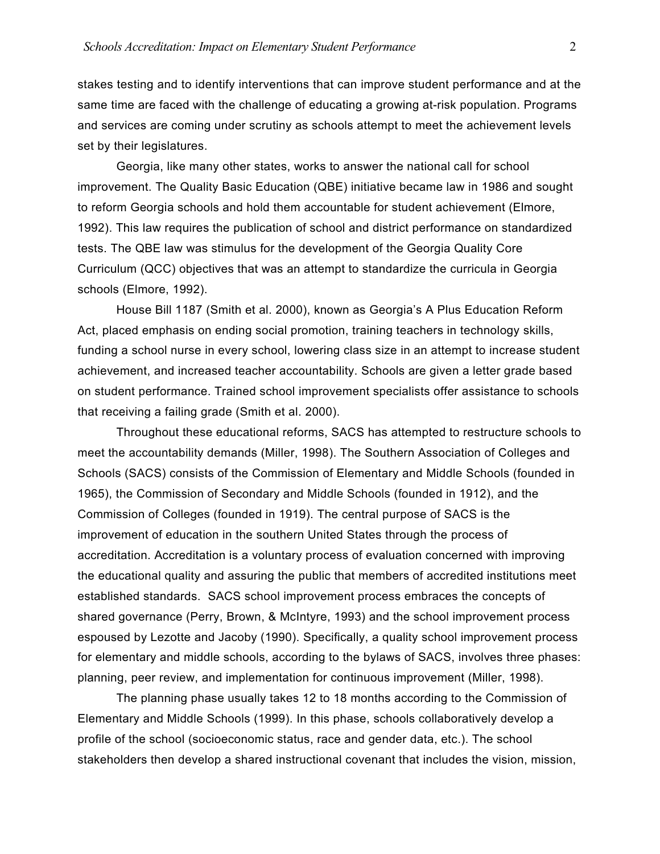stakes testing and to identify interventions that can improve student performance and at the same time are faced with the challenge of educating a growing at-risk population. Programs and services are coming under scrutiny as schools attempt to meet the achievement levels set by their legislatures.

 Georgia, like many other states, works to answer the national call for school improvement. The Quality Basic Education (QBE) initiative became law in 1986 and sought to reform Georgia schools and hold them accountable for student achievement (Elmore, 1992). This law requires the publication of school and district performance on standardized tests. The QBE law was stimulus for the development of the Georgia Quality Core Curriculum (QCC) objectives that was an attempt to standardize the curricula in Georgia schools (Elmore, 1992).

 House Bill 1187 (Smith et al. 2000), known as Georgia's A Plus Education Reform Act, placed emphasis on ending social promotion, training teachers in technology skills, funding a school nurse in every school, lowering class size in an attempt to increase student achievement, and increased teacher accountability. Schools are given a letter grade based on student performance. Trained school improvement specialists offer assistance to schools that receiving a failing grade (Smith et al. 2000).

 Throughout these educational reforms, SACS has attempted to restructure schools to meet the accountability demands (Miller, 1998). The Southern Association of Colleges and Schools (SACS) consists of the Commission of Elementary and Middle Schools (founded in 1965), the Commission of Secondary and Middle Schools (founded in 1912), and the Commission of Colleges (founded in 1919). The central purpose of SACS is the improvement of education in the southern United States through the process of accreditation. Accreditation is a voluntary process of evaluation concerned with improving the educational quality and assuring the public that members of accredited institutions meet established standards. SACS school improvement process embraces the concepts of shared governance (Perry, Brown, & McIntyre, 1993) and the school improvement process espoused by Lezotte and Jacoby (1990). Specifically, a quality school improvement process for elementary and middle schools, according to the bylaws of SACS, involves three phases: planning, peer review, and implementation for continuous improvement (Miller, 1998).

 The planning phase usually takes 12 to 18 months according to the Commission of Elementary and Middle Schools (1999). In this phase, schools collaboratively develop a profile of the school (socioeconomic status, race and gender data, etc.). The school stakeholders then develop a shared instructional covenant that includes the vision, mission,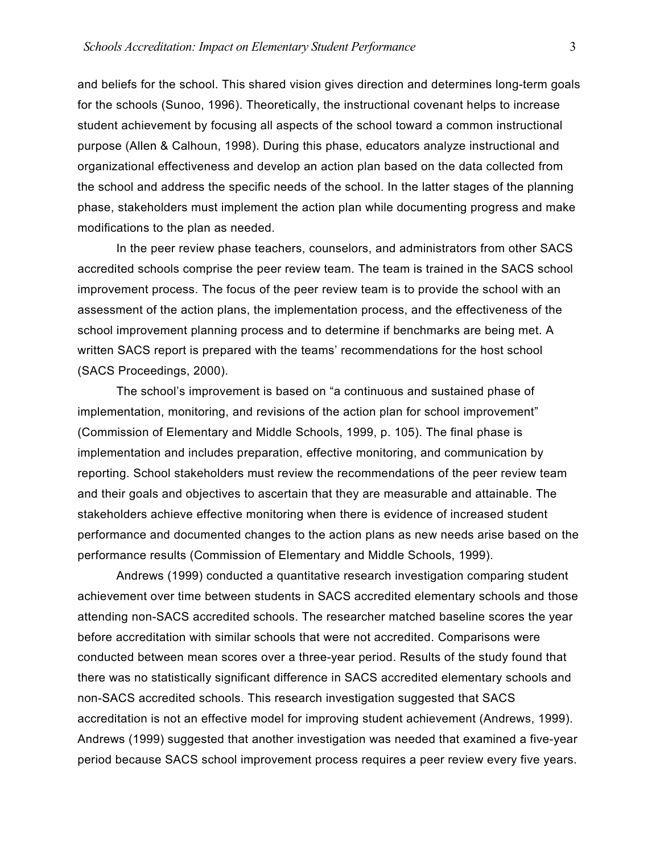and beliefs for the school. This shared vision gives direction and determines long-term goals for the schools (Sunoo, 1996). Theoretically, the instructional covenant helps to increase student achievement by focusing all aspects of the school toward a common instructional purpose (Allen & Calhoun, 1998). During this phase, educators analyze instructional and organizational effectiveness and develop an action plan based on the data collected from the school and address the specific needs of the school. In the latter stages of the planning phase, stakeholders must implement the action plan while documenting progress and make modifications to the plan as needed.

 In the peer review phase teachers, counselors, and administrators from other SACS accredited schools comprise the peer review team. The team is trained in the SACS school improvement process. The focus of the peer review team is to provide the school with an assessment of the action plans, the implementation process, and the effectiveness of the school improvement planning process and to determine if benchmarks are being met. A written SACS report is prepared with the teams' recommendations for the host school (SACS Proceedings, 2000).

 The school's improvement is based on "a continuous and sustained phase of implementation, monitoring, and revisions of the action plan for school improvement" (Commission of Elementary and Middle Schools, 1999, p. 105). The final phase is implementation and includes preparation, effective monitoring, and communication by reporting. School stakeholders must review the recommendations of the peer review team and their goals and objectives to ascertain that they are measurable and attainable. The stakeholders achieve effective monitoring when there is evidence of increased student performance and documented changes to the action plans as new needs arise based on the performance results (Commission of Elementary and Middle Schools, 1999).

 Andrews (1999) conducted a quantitative research investigation comparing student achievement over time between students in SACS accredited elementary schools and those attending non-SACS accredited schools. The researcher matched baseline scores the year before accreditation with similar schools that were not accredited. Comparisons were conducted between mean scores over a three-year period. Results of the study found that there was no statistically significant difference in SACS accredited elementary schools and non-SACS accredited schools. This research investigation suggested that SACS accreditation is not an effective model for improving student achievement (Andrews, 1999). Andrews (1999) suggested that another investigation was needed that examined a five-year period because SACS school improvement process requires a peer review every five years.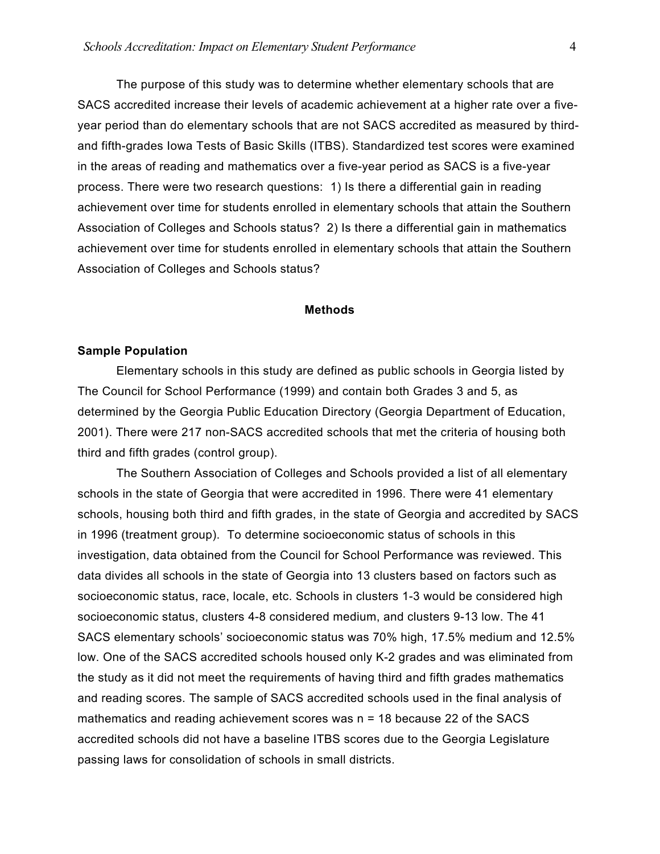The purpose of this study was to determine whether elementary schools that are SACS accredited increase their levels of academic achievement at a higher rate over a fiveyear period than do elementary schools that are not SACS accredited as measured by thirdand fifth-grades Iowa Tests of Basic Skills (ITBS). Standardized test scores were examined in the areas of reading and mathematics over a five-year period as SACS is a five-year process. There were two research questions: 1) Is there a differential gain in reading achievement over time for students enrolled in elementary schools that attain the Southern Association of Colleges and Schools status? 2) Is there a differential gain in mathematics achievement over time for students enrolled in elementary schools that attain the Southern Association of Colleges and Schools status?

# **Methods**

# **Sample Population**

Elementary schools in this study are defined as public schools in Georgia listed by The Council for School Performance (1999) and contain both Grades 3 and 5, as determined by the Georgia Public Education Directory (Georgia Department of Education, 2001). There were 217 non-SACS accredited schools that met the criteria of housing both third and fifth grades (control group).

The Southern Association of Colleges and Schools provided a list of all elementary schools in the state of Georgia that were accredited in 1996. There were 41 elementary schools, housing both third and fifth grades, in the state of Georgia and accredited by SACS in 1996 (treatment group). To determine socioeconomic status of schools in this investigation, data obtained from the Council for School Performance was reviewed. This data divides all schools in the state of Georgia into 13 clusters based on factors such as socioeconomic status, race, locale, etc. Schools in clusters 1-3 would be considered high socioeconomic status, clusters 4-8 considered medium, and clusters 9-13 low. The 41 SACS elementary schools' socioeconomic status was 70% high, 17.5% medium and 12.5% low. One of the SACS accredited schools housed only K-2 grades and was eliminated from the study as it did not meet the requirements of having third and fifth grades mathematics and reading scores. The sample of SACS accredited schools used in the final analysis of mathematics and reading achievement scores was n = 18 because 22 of the SACS accredited schools did not have a baseline ITBS scores due to the Georgia Legislature passing laws for consolidation of schools in small districts.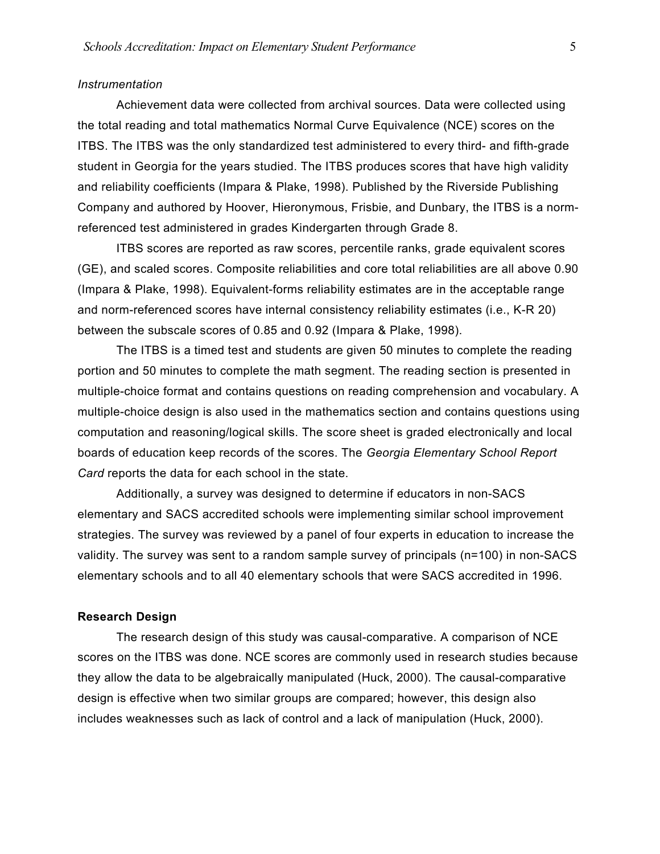## *Instrumentation*

Achievement data were collected from archival sources. Data were collected using the total reading and total mathematics Normal Curve Equivalence (NCE) scores on the ITBS. The ITBS was the only standardized test administered to every third- and fifth-grade student in Georgia for the years studied. The ITBS produces scores that have high validity and reliability coefficients (Impara & Plake, 1998). Published by the Riverside Publishing Company and authored by Hoover, Hieronymous, Frisbie, and Dunbary, the ITBS is a normreferenced test administered in grades Kindergarten through Grade 8.

ITBS scores are reported as raw scores, percentile ranks, grade equivalent scores (GE), and scaled scores. Composite reliabilities and core total reliabilities are all above 0.90 (Impara & Plake, 1998). Equivalent-forms reliability estimates are in the acceptable range and norm-referenced scores have internal consistency reliability estimates (i.e., K-R 20) between the subscale scores of 0.85 and 0.92 (Impara & Plake, 1998).

The ITBS is a timed test and students are given 50 minutes to complete the reading portion and 50 minutes to complete the math segment. The reading section is presented in multiple-choice format and contains questions on reading comprehension and vocabulary. A multiple-choice design is also used in the mathematics section and contains questions using computation and reasoning/logical skills. The score sheet is graded electronically and local boards of education keep records of the scores. The *Georgia Elementary School Report Card* reports the data for each school in the state.

Additionally, a survey was designed to determine if educators in non-SACS elementary and SACS accredited schools were implementing similar school improvement strategies. The survey was reviewed by a panel of four experts in education to increase the validity. The survey was sent to a random sample survey of principals (n=100) in non-SACS elementary schools and to all 40 elementary schools that were SACS accredited in 1996.

# **Research Design**

 The research design of this study was causal-comparative. A comparison of NCE scores on the ITBS was done. NCE scores are commonly used in research studies because they allow the data to be algebraically manipulated (Huck, 2000). The causal-comparative design is effective when two similar groups are compared; however, this design also includes weaknesses such as lack of control and a lack of manipulation (Huck, 2000).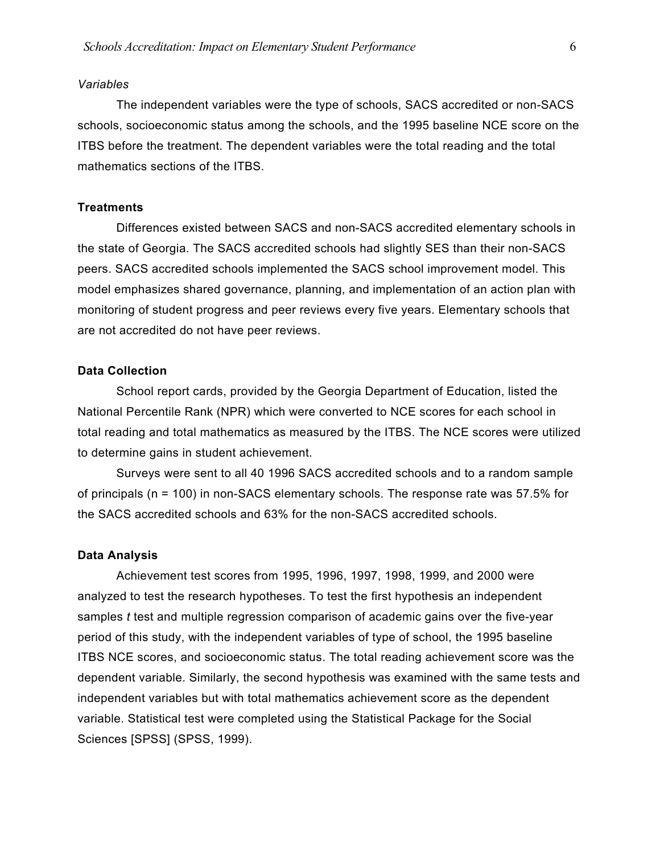### *Variables*

The independent variables were the type of schools, SACS accredited or non-SACS schools, socioeconomic status among the schools, and the 1995 baseline NCE score on the ITBS before the treatment. The dependent variables were the total reading and the total mathematics sections of the ITBS.

# **Treatments**

 Differences existed between SACS and non-SACS accredited elementary schools in the state of Georgia. The SACS accredited schools had slightly SES than their non-SACS peers. SACS accredited schools implemented the SACS school improvement model. This model emphasizes shared governance, planning, and implementation of an action plan with monitoring of student progress and peer reviews every five years. Elementary schools that are not accredited do not have peer reviews.

## **Data Collection**

School report cards, provided by the Georgia Department of Education, listed the National Percentile Rank (NPR) which were converted to NCE scores for each school in total reading and total mathematics as measured by the ITBS. The NCE scores were utilized to determine gains in student achievement.

Surveys were sent to all 40 1996 SACS accredited schools and to a random sample of principals (n = 100) in non-SACS elementary schools. The response rate was 57.5% for the SACS accredited schools and 63% for the non-SACS accredited schools.

### **Data Analysis**

 Achievement test scores from 1995, 1996, 1997, 1998, 1999, and 2000 were analyzed to test the research hypotheses. To test the first hypothesis an independent samples *t* test and multiple regression comparison of academic gains over the five-year period of this study, with the independent variables of type of school, the 1995 baseline ITBS NCE scores, and socioeconomic status. The total reading achievement score was the dependent variable. Similarly, the second hypothesis was examined with the same tests and independent variables but with total mathematics achievement score as the dependent variable. Statistical test were completed using the Statistical Package for the Social Sciences [SPSS] (SPSS, 1999).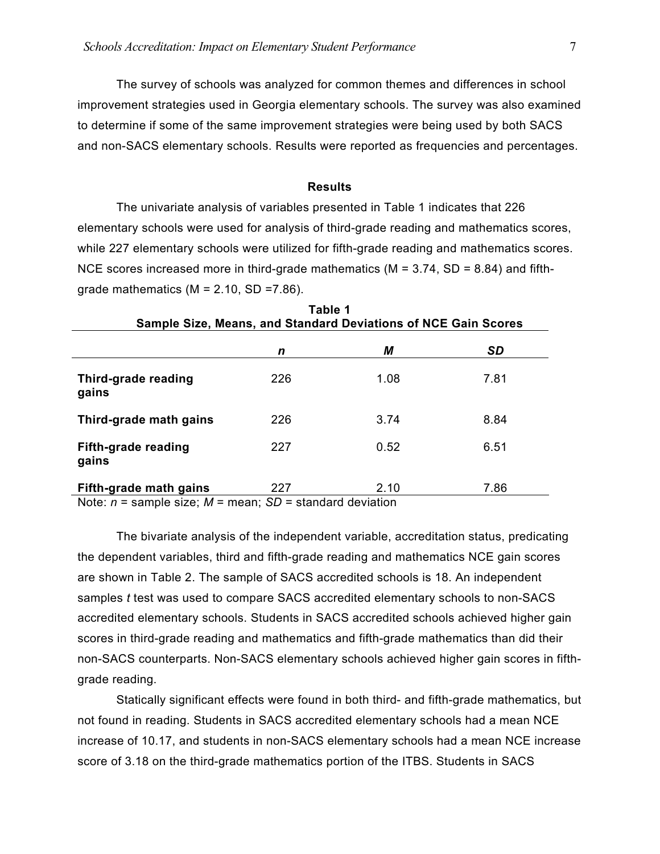The survey of schools was analyzed for common themes and differences in school improvement strategies used in Georgia elementary schools. The survey was also examined to determine if some of the same improvement strategies were being used by both SACS and non-SACS elementary schools. Results were reported as frequencies and percentages.

## **Results**

The univariate analysis of variables presented in Table 1 indicates that 226 elementary schools were used for analysis of third-grade reading and mathematics scores, while 227 elementary schools were utilized for fifth-grade reading and mathematics scores. NCE scores increased more in third-grade mathematics ( $M = 3.74$ , SD = 8.84) and fifthgrade mathematics ( $M = 2.10$ , SD = 7.86).

|                              | Table 1<br>Sample Size, Means, and Standard Deviations of NCE Gain Scores |      |           |  |  |  |
|------------------------------|---------------------------------------------------------------------------|------|-----------|--|--|--|
|                              | n                                                                         | М    | <b>SD</b> |  |  |  |
| Third-grade reading<br>gains | 226                                                                       | 1.08 | 7.81      |  |  |  |
| Third-grade math gains       | 226                                                                       | 3.74 | 8.84      |  |  |  |
| Fifth-grade reading<br>gains | 227                                                                       | 0.52 | 6.51      |  |  |  |
| Fifth-grade math gains       | 227                                                                       | 2.10 | 7.86      |  |  |  |

Note: *n* = sample size; *M* = mean; *SD* = standard deviation

The bivariate analysis of the independent variable, accreditation status, predicating the dependent variables, third and fifth-grade reading and mathematics NCE gain scores are shown in Table 2. The sample of SACS accredited schools is 18. An independent samples *t* test was used to compare SACS accredited elementary schools to non-SACS accredited elementary schools. Students in SACS accredited schools achieved higher gain scores in third-grade reading and mathematics and fifth-grade mathematics than did their non-SACS counterparts. Non-SACS elementary schools achieved higher gain scores in fifthgrade reading.

Statically significant effects were found in both third- and fifth-grade mathematics, but not found in reading. Students in SACS accredited elementary schools had a mean NCE increase of 10.17, and students in non-SACS elementary schools had a mean NCE increase score of 3.18 on the third-grade mathematics portion of the ITBS. Students in SACS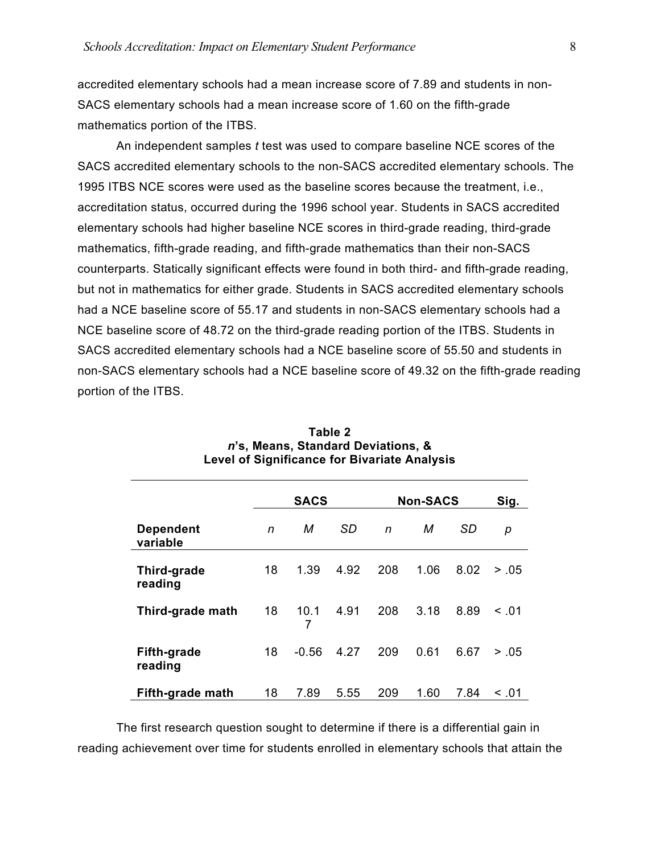accredited elementary schools had a mean increase score of 7.89 and students in non-SACS elementary schools had a mean increase score of 1.60 on the fifth-grade mathematics portion of the ITBS.

An independent samples *t* test was used to compare baseline NCE scores of the SACS accredited elementary schools to the non-SACS accredited elementary schools. The 1995 ITBS NCE scores were used as the baseline scores because the treatment, i.e., accreditation status, occurred during the 1996 school year. Students in SACS accredited elementary schools had higher baseline NCE scores in third-grade reading, third-grade mathematics, fifth-grade reading, and fifth-grade mathematics than their non-SACS counterparts. Statically significant effects were found in both third- and fifth-grade reading, but not in mathematics for either grade. Students in SACS accredited elementary schools had a NCE baseline score of 55.17 and students in non-SACS elementary schools had a NCE baseline score of 48.72 on the third-grade reading portion of the ITBS. Students in SACS accredited elementary schools had a NCE baseline score of 55.50 and students in non-SACS elementary schools had a NCE baseline score of 49.32 on the fifth-grade reading portion of the ITBS.

|                               |    | <b>SACS</b> |           |     | <b>Non-SACS</b> | Sig. |        |
|-------------------------------|----|-------------|-----------|-----|-----------------|------|--------|
| <b>Dependent</b><br>variable  | n  | М           | <b>SD</b> | n   | М               | SD   | р      |
| Third-grade<br>reading        | 18 | 1.39        | 4.92      | 208 | 1.06            | 8.02 | > .05  |
| Third-grade math              | 18 | 10.1        | 4.91      | 208 | 3.18            | 8.89 | < 0.01 |
| <b>Fifth-grade</b><br>reading | 18 | $-0.56$     | 4.27      | 209 | 0.61            | 6.67 | > .05  |
| Fifth-grade math              | 18 | 7.89        | 5.55      | 209 | 1.60            | 7.84 | < 0.01 |

**Table 2**  *n***'s, Means, Standard Deviations, & Level of Significance for Bivariate Analysis** 

 The first research question sought to determine if there is a differential gain in reading achievement over time for students enrolled in elementary schools that attain the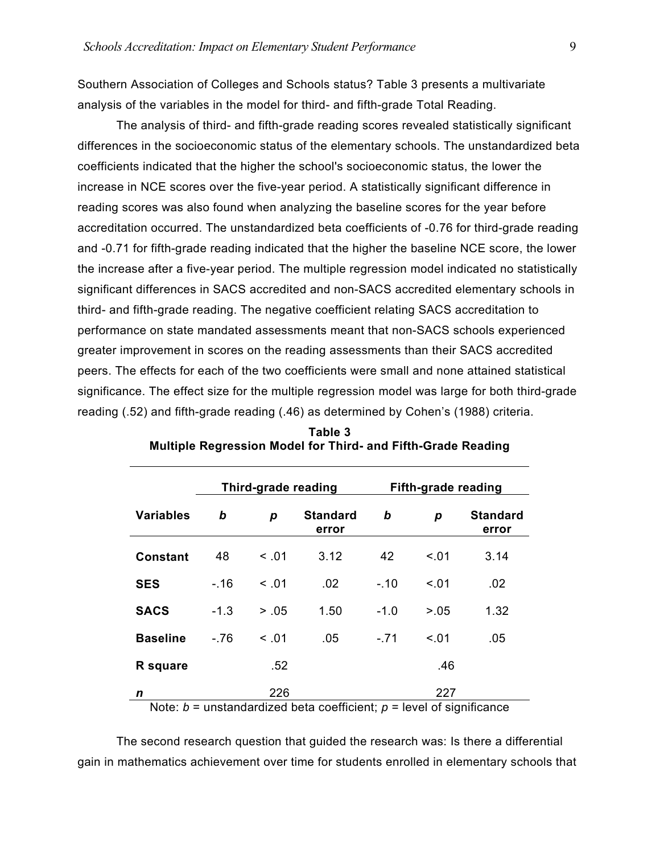Southern Association of Colleges and Schools status? Table 3 presents a multivariate analysis of the variables in the model for third- and fifth-grade Total Reading.

The analysis of third- and fifth-grade reading scores revealed statistically significant differences in the socioeconomic status of the elementary schools. The unstandardized beta coefficients indicated that the higher the school's socioeconomic status, the lower the increase in NCE scores over the five-year period. A statistically significant difference in reading scores was also found when analyzing the baseline scores for the year before accreditation occurred. The unstandardized beta coefficients of -0.76 for third-grade reading and -0.71 for fifth-grade reading indicated that the higher the baseline NCE score, the lower the increase after a five-year period. The multiple regression model indicated no statistically significant differences in SACS accredited and non-SACS accredited elementary schools in third- and fifth-grade reading. The negative coefficient relating SACS accreditation to performance on state mandated assessments meant that non-SACS schools experienced greater improvement in scores on the reading assessments than their SACS accredited peers. The effects for each of the two coefficients were small and none attained statistical significance. The effect size for the multiple regression model was large for both third-grade reading (.52) and fifth-grade reading (.46) as determined by Cohen's (1988) criteria.

|                  | Third-grade reading |        |                                                                      |        | <b>Fifth-grade reading</b> |                          |
|------------------|---------------------|--------|----------------------------------------------------------------------|--------|----------------------------|--------------------------|
| <b>Variables</b> | b                   | р      | <b>Standard</b><br>error                                             | b      | р                          | <b>Standard</b><br>error |
| <b>Constant</b>  | 48                  | < 0.01 | 3.12                                                                 | 42     | < 0.01                     | 3.14                     |
| <b>SES</b>       | $-.16$              | < 0.01 | .02                                                                  | $-.10$ | < 0.01                     | .02                      |
| <b>SACS</b>      | $-1.3$              | > .05  | 1.50                                                                 | $-1.0$ | > 0.05                     | 1.32                     |
| <b>Baseline</b>  | -.76                | < 0.01 | .05                                                                  | $-.71$ | < 0.01                     | .05                      |
| R square         |                     | .52    |                                                                      |        | .46                        |                          |
| n                |                     | 226    | Note: h = unstandardized heta coefficient: n = level of significance |        | 227                        |                          |

| Table 3                                                      |  |
|--------------------------------------------------------------|--|
| Multiple Regression Model for Third- and Fifth-Grade Reading |  |

Note:  $b =$  unstandardized beta coefficient;  $p =$  level of significance

The second research question that guided the research was: Is there a differential gain in mathematics achievement over time for students enrolled in elementary schools that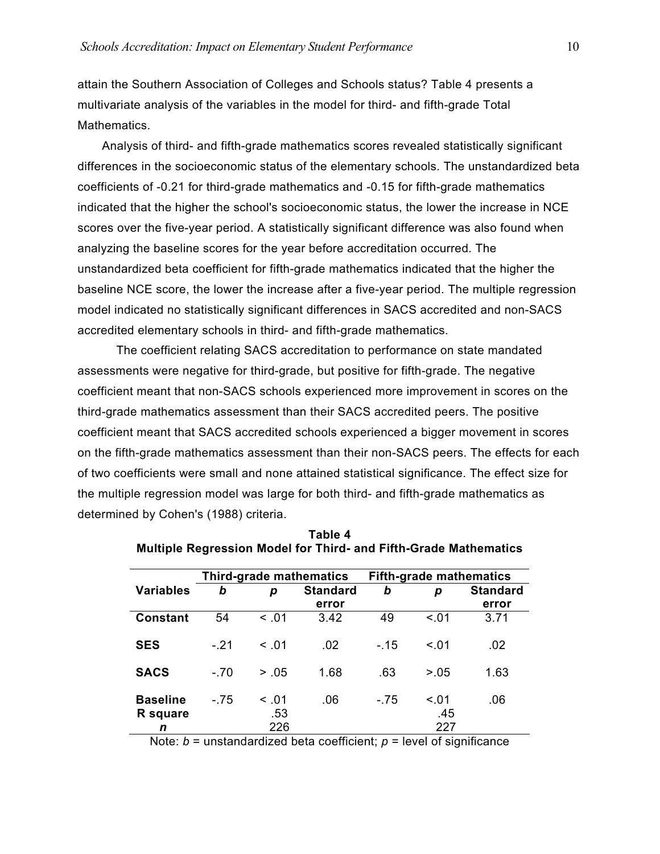attain the Southern Association of Colleges and Schools status? Table 4 presents a multivariate analysis of the variables in the model for third- and fifth-grade Total Mathematics.

 Analysis of third- and fifth-grade mathematics scores revealed statistically significant differences in the socioeconomic status of the elementary schools. The unstandardized beta coefficients of -0.21 for third-grade mathematics and -0.15 for fifth-grade mathematics indicated that the higher the school's socioeconomic status, the lower the increase in NCE scores over the five-year period. A statistically significant difference was also found when analyzing the baseline scores for the year before accreditation occurred. The unstandardized beta coefficient for fifth-grade mathematics indicated that the higher the baseline NCE score, the lower the increase after a five-year period. The multiple regression model indicated no statistically significant differences in SACS accredited and non-SACS accredited elementary schools in third- and fifth-grade mathematics.

The coefficient relating SACS accreditation to performance on state mandated assessments were negative for third-grade, but positive for fifth-grade. The negative coefficient meant that non-SACS schools experienced more improvement in scores on the third-grade mathematics assessment than their SACS accredited peers. The positive coefficient meant that SACS accredited schools experienced a bigger movement in scores on the fifth-grade mathematics assessment than their non-SACS peers. The effects for each of two coefficients were small and none attained statistical significance. The effect size for the multiple regression model was large for both third- and fifth-grade mathematics as determined by Cohen's (1988) criteria.

|                                  | Third-grade mathematics |                      |                 | <b>Fifth-grade mathematics</b> |                      |                 |
|----------------------------------|-------------------------|----------------------|-----------------|--------------------------------|----------------------|-----------------|
| <b>Variables</b>                 | b                       | p                    | <b>Standard</b> | b                              | р                    | <b>Standard</b> |
|                                  |                         |                      | error           |                                |                      | error           |
| <b>Constant</b>                  | 54                      | < 0.01               | 3.42            | 49                             | < 0.01               | 3.71            |
| <b>SES</b>                       | $-.21$                  | < 01                 | .02             | $-.15$                         | < 01                 | .02             |
| <b>SACS</b>                      | $-.70$                  | > .05                | 1.68            | .63                            | > 0.05               | 1.63            |
| <b>Baseline</b><br>R square<br>n | $-.75$                  | < 0.01<br>.53<br>226 | .06             | $-.75$                         | < 0.01<br>.45<br>227 | .06             |

**Table 4 Multiple Regression Model for Third- and Fifth-Grade Mathematics** 

Note:  $b =$  unstandardized beta coefficient;  $p =$  level of significance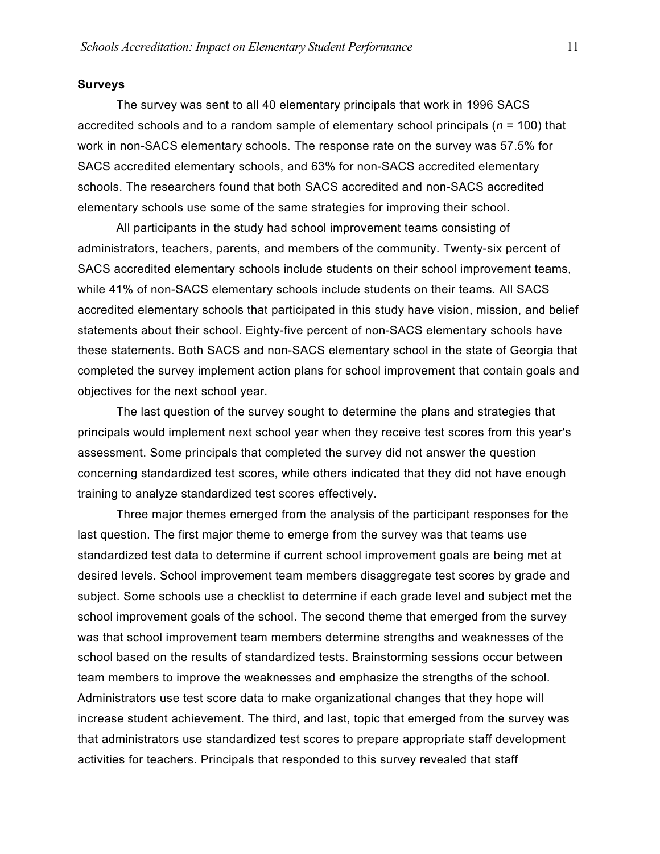# **Surveys**

The survey was sent to all 40 elementary principals that work in 1996 SACS accredited schools and to a random sample of elementary school principals (*n* = 100) that work in non-SACS elementary schools. The response rate on the survey was 57.5% for SACS accredited elementary schools, and 63% for non-SACS accredited elementary schools. The researchers found that both SACS accredited and non-SACS accredited elementary schools use some of the same strategies for improving their school.

All participants in the study had school improvement teams consisting of administrators, teachers, parents, and members of the community. Twenty-six percent of SACS accredited elementary schools include students on their school improvement teams, while 41% of non-SACS elementary schools include students on their teams. All SACS accredited elementary schools that participated in this study have vision, mission, and belief statements about their school. Eighty-five percent of non-SACS elementary schools have these statements. Both SACS and non-SACS elementary school in the state of Georgia that completed the survey implement action plans for school improvement that contain goals and objectives for the next school year.

The last question of the survey sought to determine the plans and strategies that principals would implement next school year when they receive test scores from this year's assessment. Some principals that completed the survey did not answer the question concerning standardized test scores, while others indicated that they did not have enough training to analyze standardized test scores effectively.

Three major themes emerged from the analysis of the participant responses for the last question. The first major theme to emerge from the survey was that teams use standardized test data to determine if current school improvement goals are being met at desired levels. School improvement team members disaggregate test scores by grade and subject. Some schools use a checklist to determine if each grade level and subject met the school improvement goals of the school. The second theme that emerged from the survey was that school improvement team members determine strengths and weaknesses of the school based on the results of standardized tests. Brainstorming sessions occur between team members to improve the weaknesses and emphasize the strengths of the school. Administrators use test score data to make organizational changes that they hope will increase student achievement. The third, and last, topic that emerged from the survey was that administrators use standardized test scores to prepare appropriate staff development activities for teachers. Principals that responded to this survey revealed that staff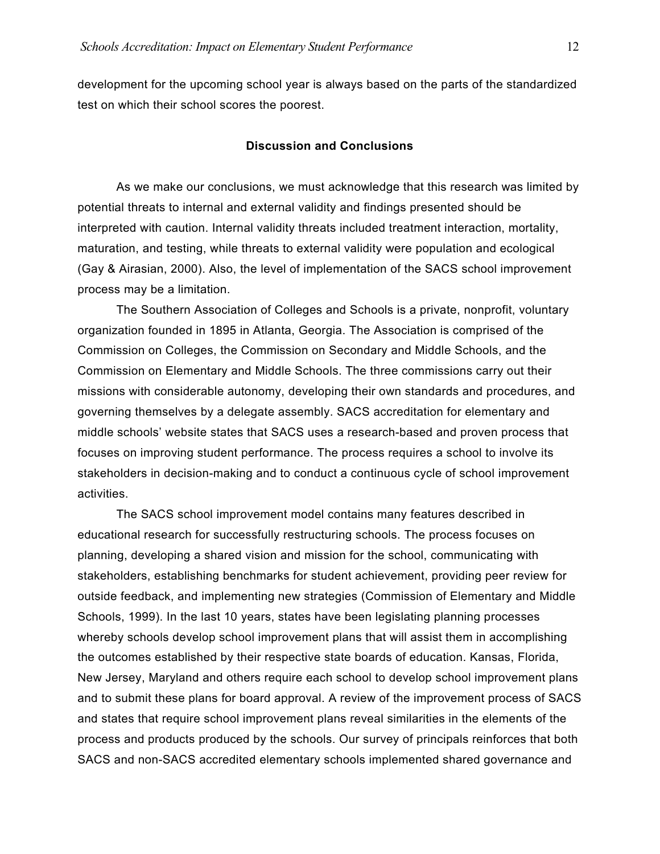development for the upcoming school year is always based on the parts of the standardized test on which their school scores the poorest.

# **Discussion and Conclusions**

 As we make our conclusions, we must acknowledge that this research was limited by potential threats to internal and external validity and findings presented should be interpreted with caution. Internal validity threats included treatment interaction, mortality, maturation, and testing, while threats to external validity were population and ecological (Gay & Airasian, 2000). Also, the level of implementation of the SACS school improvement process may be a limitation.

The Southern Association of Colleges and Schools is a private, nonprofit, voluntary organization founded in 1895 in Atlanta, Georgia. The Association is comprised of the Commission on Colleges, the Commission on Secondary and Middle Schools, and the Commission on Elementary and Middle Schools. The three commissions carry out their missions with considerable autonomy, developing their own standards and procedures, and governing themselves by a delegate assembly. SACS accreditation for elementary and middle schools' website states that SACS uses a research-based and proven process that focuses on improving student performance. The process requires a school to involve its stakeholders in decision-making and to conduct a continuous cycle of school improvement activities.

The SACS school improvement model contains many features described in educational research for successfully restructuring schools. The process focuses on planning, developing a shared vision and mission for the school, communicating with stakeholders, establishing benchmarks for student achievement, providing peer review for outside feedback, and implementing new strategies (Commission of Elementary and Middle Schools, 1999). In the last 10 years, states have been legislating planning processes whereby schools develop school improvement plans that will assist them in accomplishing the outcomes established by their respective state boards of education. Kansas, Florida, New Jersey, Maryland and others require each school to develop school improvement plans and to submit these plans for board approval. A review of the improvement process of SACS and states that require school improvement plans reveal similarities in the elements of the process and products produced by the schools. Our survey of principals reinforces that both SACS and non-SACS accredited elementary schools implemented shared governance and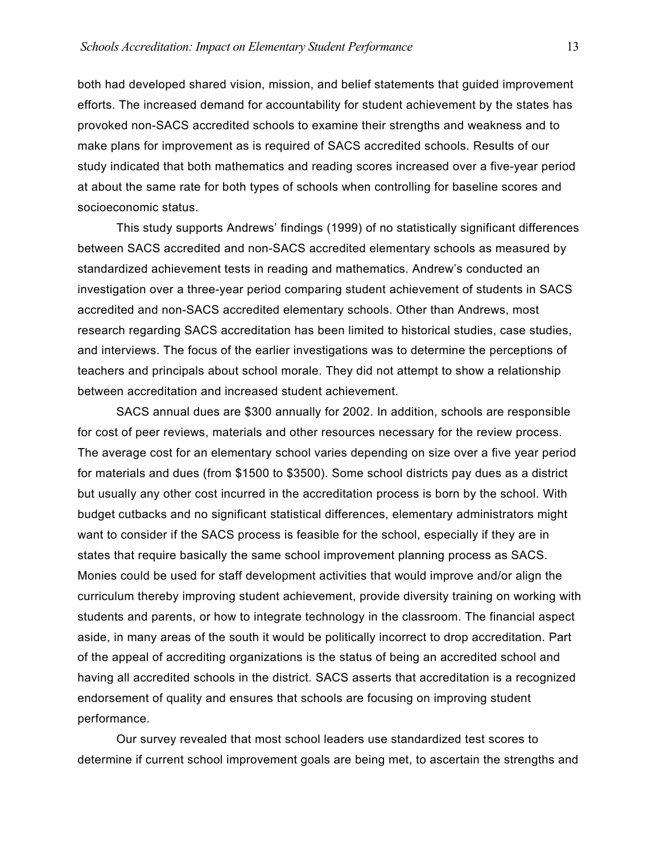both had developed shared vision, mission, and belief statements that guided improvement efforts. The increased demand for accountability for student achievement by the states has provoked non-SACS accredited schools to examine their strengths and weakness and to make plans for improvement as is required of SACS accredited schools. Results of our study indicated that both mathematics and reading scores increased over a five-year period at about the same rate for both types of schools when controlling for baseline scores and socioeconomic status.

This study supports Andrews' findings (1999) of no statistically significant differences between SACS accredited and non-SACS accredited elementary schools as measured by standardized achievement tests in reading and mathematics. Andrew's conducted an investigation over a three-year period comparing student achievement of students in SACS accredited and non-SACS accredited elementary schools. Other than Andrews, most research regarding SACS accreditation has been limited to historical studies, case studies, and interviews. The focus of the earlier investigations was to determine the perceptions of teachers and principals about school morale. They did not attempt to show a relationship between accreditation and increased student achievement.

SACS annual dues are \$300 annually for 2002. In addition, schools are responsible for cost of peer reviews, materials and other resources necessary for the review process. The average cost for an elementary school varies depending on size over a five year period for materials and dues (from \$1500 to \$3500). Some school districts pay dues as a district but usually any other cost incurred in the accreditation process is born by the school. With budget cutbacks and no significant statistical differences, elementary administrators might want to consider if the SACS process is feasible for the school, especially if they are in states that require basically the same school improvement planning process as SACS. Monies could be used for staff development activities that would improve and/or align the curriculum thereby improving student achievement, provide diversity training on working with students and parents, or how to integrate technology in the classroom. The financial aspect aside, in many areas of the south it would be politically incorrect to drop accreditation. Part of the appeal of accrediting organizations is the status of being an accredited school and having all accredited schools in the district. SACS asserts that accreditation is a recognized endorsement of quality and ensures that schools are focusing on improving student performance.

Our survey revealed that most school leaders use standardized test scores to determine if current school improvement goals are being met, to ascertain the strengths and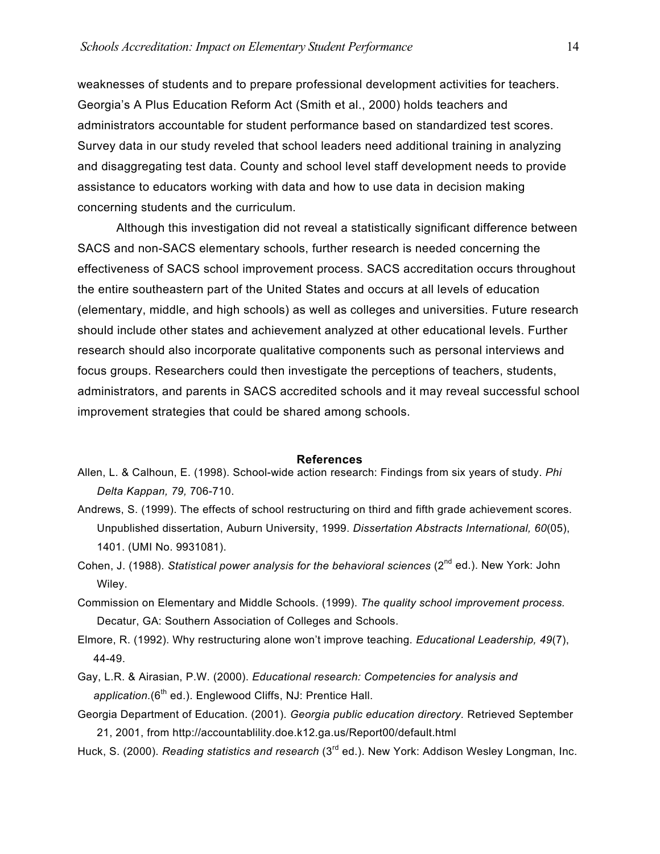weaknesses of students and to prepare professional development activities for teachers. Georgia's A Plus Education Reform Act (Smith et al., 2000) holds teachers and administrators accountable for student performance based on standardized test scores. Survey data in our study reveled that school leaders need additional training in analyzing and disaggregating test data. County and school level staff development needs to provide assistance to educators working with data and how to use data in decision making concerning students and the curriculum.

Although this investigation did not reveal a statistically significant difference between SACS and non-SACS elementary schools, further research is needed concerning the effectiveness of SACS school improvement process. SACS accreditation occurs throughout the entire southeastern part of the United States and occurs at all levels of education (elementary, middle, and high schools) as well as colleges and universities. Future research should include other states and achievement analyzed at other educational levels. Further research should also incorporate qualitative components such as personal interviews and focus groups. Researchers could then investigate the perceptions of teachers, students, administrators, and parents in SACS accredited schools and it may reveal successful school improvement strategies that could be shared among schools.

### **References**

- Allen, L. & Calhoun, E. (1998). School-wide action research: Findings from six years of study. *Phi Delta Kappan, 79,* 706-710.
- Andrews, S. (1999). The effects of school restructuring on third and fifth grade achievement scores. Unpublished dissertation, Auburn University, 1999. *Dissertation Abstracts International, 60*(05), 1401. (UMI No. 9931081).
- Cohen, J. (1988). *Statistical power analysis for the behavioral sciences* (2<sup>nd</sup> ed.). New York: John Wiley.
- Commission on Elementary and Middle Schools. (1999). *The quality school improvement process.* Decatur, GA: Southern Association of Colleges and Schools.
- Elmore, R. (1992). Why restructuring alone won't improve teaching. *Educational Leadership, 49*(7), 44-49.
- Gay, L.R. & Airasian, P.W. (2000). *Educational research: Competencies for analysis and*  application.(6<sup>th</sup> ed.). Englewood Cliffs, NJ: Prentice Hall.
- Georgia Department of Education. (2001). *Georgia public education directory.* Retrieved September 21, 2001, from http://accountablility.doe.k12.ga.us/Report00/default.html
- Huck, S. (2000). *Reading statistics and research* (3<sup>rd</sup> ed.). New York: Addison Wesley Longman, Inc.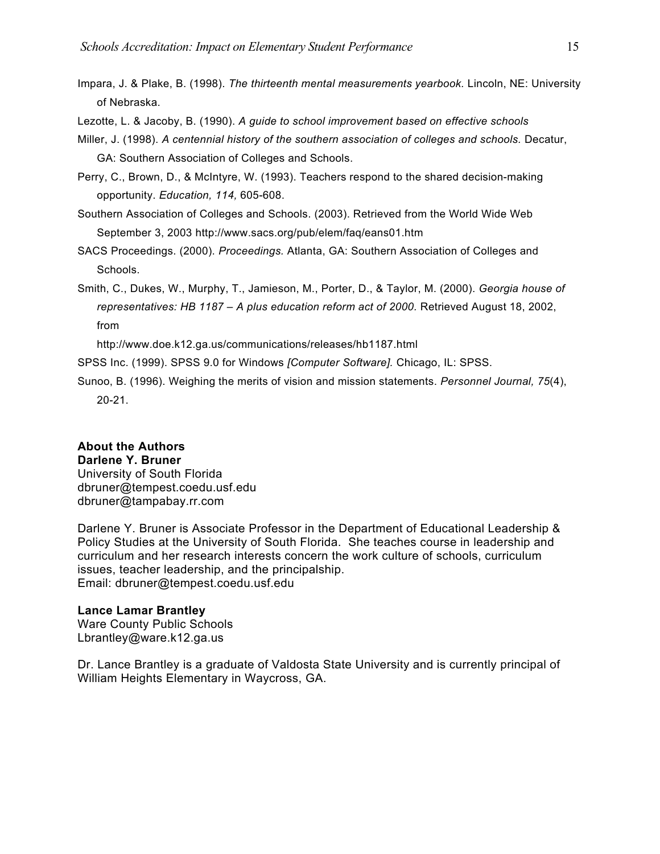Impara, J. & Plake, B. (1998). *The thirteenth mental measurements yearbook.* Lincoln, NE: University of Nebraska.

Lezotte, L. & Jacoby, B. (1990). *A guide to school improvement based on effective schools* 

Miller, J. (1998). *A centennial history of the southern association of colleges and schools.* Decatur, GA: Southern Association of Colleges and Schools.

Perry, C., Brown, D., & McIntyre, W. (1993). Teachers respond to the shared decision-making opportunity. *Education, 114,* 605-608.

Southern Association of Colleges and Schools. (2003). Retrieved from the World Wide Web September 3, 2003 http://www.sacs.org/pub/elem/faq/eans01.htm

SACS Proceedings. (2000). *Proceedings.* Atlanta, GA: Southern Association of Colleges and Schools.

Smith, C., Dukes, W., Murphy, T., Jamieson, M., Porter, D., & Taylor, M. (2000). *Georgia house of*  representatives: HB 1187 - A plus education reform act of 2000. Retrieved August 18, 2002, from

http://www.doe.k12.ga.us/communications/releases/hb1187.html

SPSS Inc. (1999). SPSS 9.0 for Windows *[Computer Software].* Chicago, IL: SPSS.

Sunoo, B. (1996). Weighing the merits of vision and mission statements. *Personnel Journal, 75*(4), 20-21.

# **About the Authors**

**Darlene Y. Bruner**  University of South Florida dbruner@tempest.coedu.usf.edu dbruner@tampabay.rr.com

Darlene Y. Bruner is Associate Professor in the Department of Educational Leadership & Policy Studies at the University of South Florida. She teaches course in leadership and curriculum and her research interests concern the work culture of schools, curriculum issues, teacher leadership, and the principalship. Email: dbruner@tempest.coedu.usf.edu

# **Lance Lamar Brantley**

Ware County Public Schools Lbrantley@ware.k12.ga.us

Dr. Lance Brantley is a graduate of Valdosta State University and is currently principal of William Heights Elementary in Waycross, GA.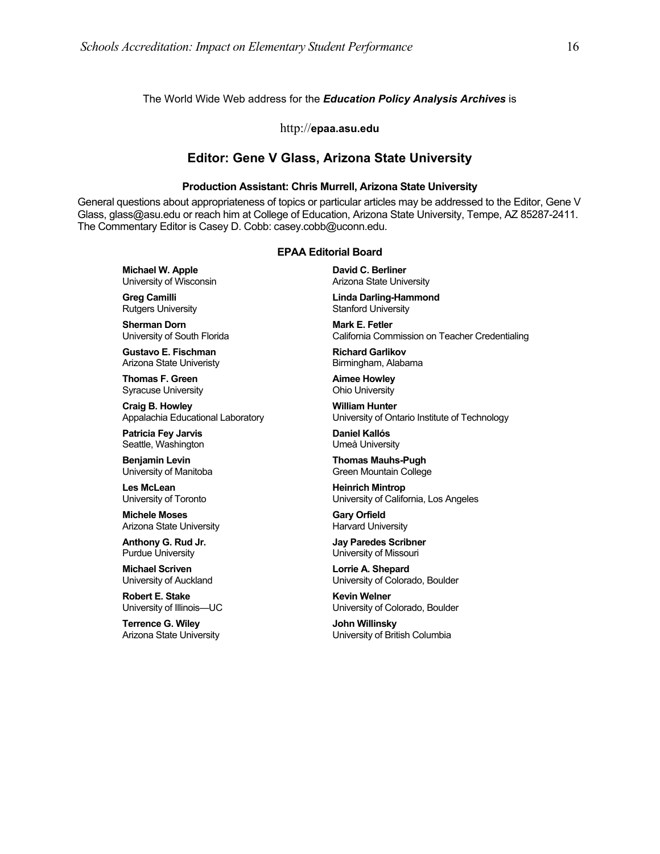### The World Wide Web address for the *Education Policy Analysis Archives* is

### http://**epaa.asu.edu**

## **Editor: Gene V Glass, Arizona State University**

### **Production Assistant: Chris Murrell, Arizona State University**

General questions about appropriateness of topics or particular articles may be addressed to the Editor, Gene V Glass, glass@asu.edu or reach him at College of Education, Arizona State University, Tempe, AZ 85287-2411. The Commentary Editor is Casey D. Cobb: casey.cobb@uconn.edu.

### **EPAA Editorial Board**

**Michael W. Apple** University of Wisconsin

**Greg Camilli** Rutgers University

**Sherman Dorn** University of South Florida

**Gustavo E. Fischman** Arizona State Univeristy

**Thomas F. Green** Syracuse University

**Craig B. Howley** Appalachia Educational Laboratory

**Patricia Fey Jarvis**  Seattle, Washington

**Benjamin Levin** University of Manitoba

**Les McLean** University of Toronto

**Michele Moses** Arizona State University

**Anthony G. Rud Jr.** Purdue University

**Michael Scriven** University of Auckland

**Robert E. Stake**  University of Illinois—UC

**Terrence G. Wiley** Arizona State University **David C. Berliner**  Arizona State University

**Linda Darling-Hammond**  Stanford University

**Mark E. Fetler** California Commission on Teacher Credentialing

**Richard Garlikov** Birmingham, Alabama

**Aimee Howley** Ohio University

**William Hunter** University of Ontario Institute of Technology

**Daniel Kallós** Umeå University

**Thomas Mauhs-Pugh** Green Mountain College

**Heinrich Mintrop**  University of California, Los Angeles

**Gary Orfield** Harvard University

**Jay Paredes Scribner** University of Missouri

**Lorrie A. Shepard** University of Colorado, Boulder

**Kevin Welner** University of Colorado, Boulder

**John Willinsky** University of British Columbia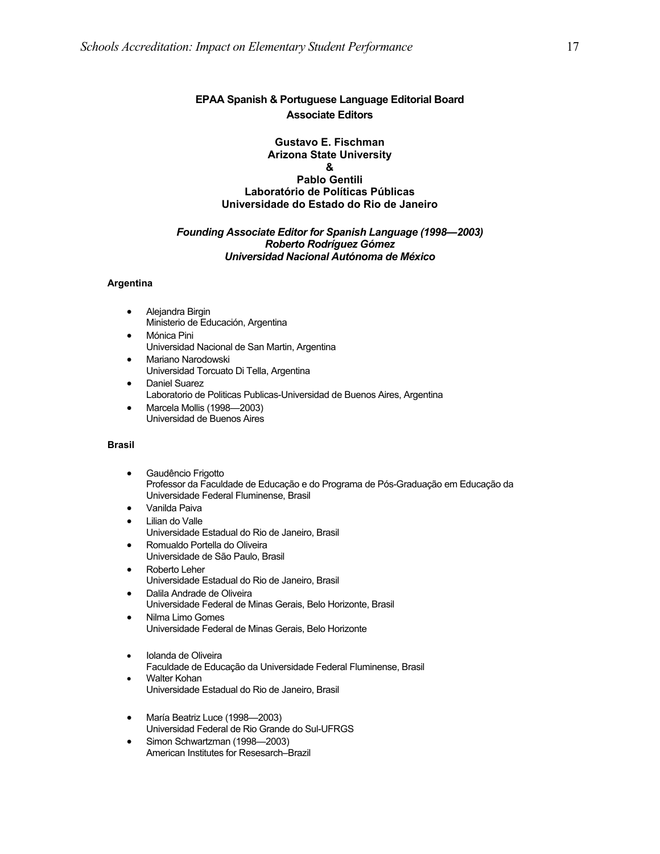# **EPAA Spanish & Portuguese Language Editorial Board Associate Editors**

### **Gustavo E. Fischman Arizona State University & Pablo Gentili Laboratório de Políticas Públicas Universidade do Estado do Rio de Janeiro**

### *Founding Associate Editor for Spanish Language (1998—2003) Roberto Rodríguez Gómez Universidad Nacional Autónoma de México*

### **Argentina**

- Alejandra Birgin Ministerio de Educación, Argentina
- Mónica Pini Universidad Nacional de San Martin, Argentina
- Mariano Narodowski Universidad Torcuato Di Tella, Argentina
- Daniel Suarez Laboratorio de Politicas Publicas-Universidad de Buenos Aires, Argentina
- Marcela Mollis (1998—2003) Universidad de Buenos Aires

### **Brasil**

- Gaudêncio Frigotto Professor da Faculdade de Educação e do Programa de Pós-Graduação em Educação da Universidade Federal Fluminense, Brasil
- Vanilda Paiva
- Lilian do Valle Universidade Estadual do Rio de Janeiro, Brasil
- Romualdo Portella do Oliveira Universidade de São Paulo, Brasil
- Roberto Leher Universidade Estadual do Rio de Janeiro, Brasil
- Dalila Andrade de Oliveira Universidade Federal de Minas Gerais, Belo Horizonte, Brasil
- Nilma Limo Gomes Universidade Federal de Minas Gerais, Belo Horizonte
- Iolanda de Oliveira Faculdade de Educação da Universidade Federal Fluminense, Brasil
- Walter Kohan Universidade Estadual do Rio de Janeiro, Brasil
- María Beatriz Luce (1998—2003) Universidad Federal de Rio Grande do Sul-UFRGS
- Simon Schwartzman (1998—2003) American Institutes for Resesarch–Brazil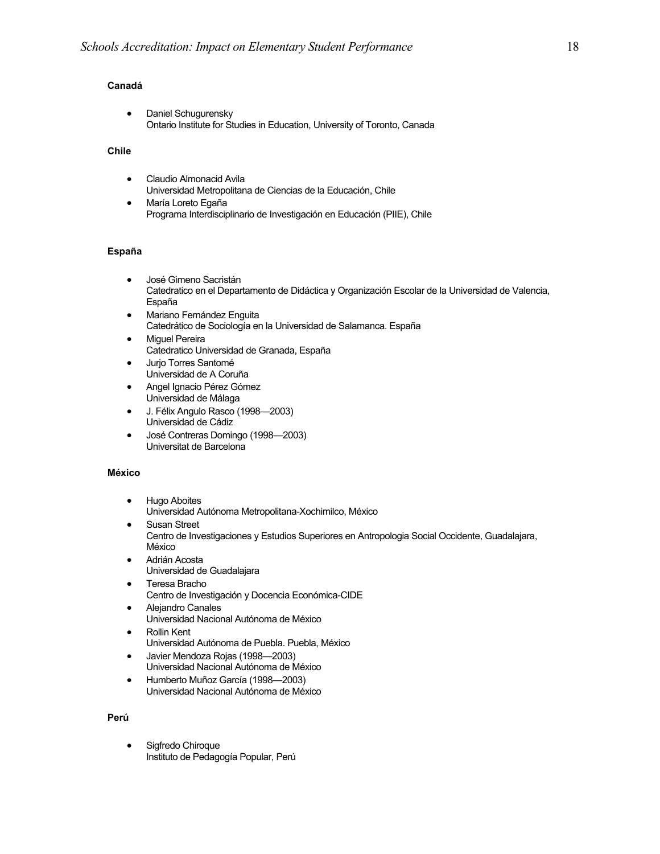### **Canadá**

• Daniel Schugurensky Ontario Institute for Studies in Education, University of Toronto, Canada

### **Chile**

- Claudio Almonacid Avila Universidad Metropolitana de Ciencias de la Educación, Chile
- María Loreto Egaña Programa Interdisciplinario de Investigación en Educación (PIIE), Chile

### **España**

- José Gimeno Sacristán Catedratico en el Departamento de Didáctica y Organización Escolar de la Universidad de Valencia, España
- Mariano Fernández Enguita Catedrático de Sociología en la Universidad de Salamanca. España
- **Miguel Pereira** Catedratico Universidad de Granada, España
- Jurjo Torres Santomé Universidad de A Coruña
- Angel Ignacio Pérez Gómez Universidad de Málaga
- J. Félix Angulo Rasco (1998—2003) Universidad de Cádiz
- José Contreras Domingo (1998—2003) Universitat de Barcelona

### **México**

- Hugo Aboites Universidad Autónoma Metropolitana-Xochimilco, México
- Susan Street Centro de Investigaciones y Estudios Superiores en Antropologia Social Occidente, Guadalajara, México
- Adrián Acosta Universidad de Guadalajara
- Teresa Bracho Centro de Investigación y Docencia Económica-CIDE
- Alejandro Canales Universidad Nacional Autónoma de México
- Rollin Kent Universidad Autónoma de Puebla. Puebla, México
- Javier Mendoza Rojas (1998—2003) Universidad Nacional Autónoma de México
- Humberto Muñoz García (1998—2003) Universidad Nacional Autónoma de México

### **Perú**

• Sigfredo Chiroque Instituto de Pedagogía Popular, Perú